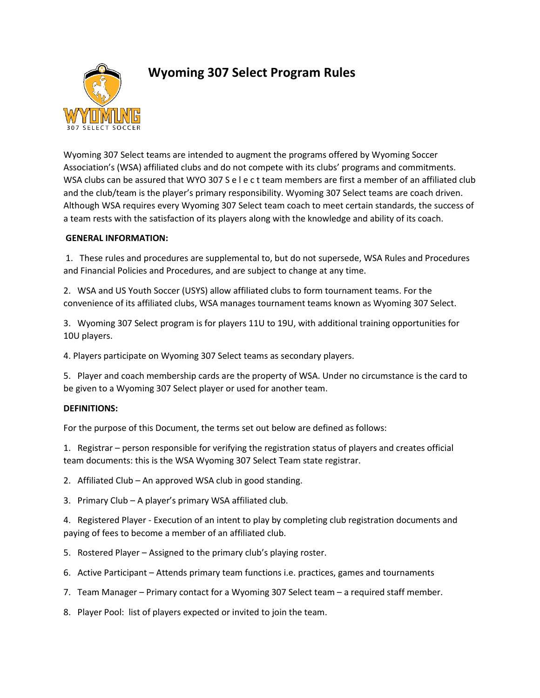

# **Wyoming 307 Select Program Rules**

Wyoming 307 Select teams are intended to augment the programs offered by Wyoming Soccer Association's (WSA) affiliated clubs and do not compete with its clubs' programs and commitments. WSA clubs can be assured that WYO 307 S e l e c t team members are first a member of an affiliated club and the club/team is the player's primary responsibility. Wyoming 307 Select teams are coach driven. Although WSA requires every Wyoming 307 Select team coach to meet certain standards, the success of a team rests with the satisfaction of its players along with the knowledge and ability of its coach.

## **GENERAL INFORMATION:**

1. These rules and procedures are supplemental to, but do not supersede, WSA Rules and Procedures and Financial Policies and Procedures, and are subject to change at any time.

2. WSA and US Youth Soccer (USYS) allow affiliated clubs to form tournament teams. For the convenience of its affiliated clubs, WSA manages tournament teams known as Wyoming 307 Select.

3. Wyoming 307 Select program is for players 11U to 19U, with additional training opportunities for 10U players.

4. Players participate on Wyoming 307 Select teams as secondary players.

5. Player and coach membership cards are the property of WSA. Under no circumstance is the card to be given to a Wyoming 307 Select player or used for another team.

# **DEFINITIONS:**

For the purpose of this Document, the terms set out below are defined as follows:

1. Registrar – person responsible for verifying the registration status of players and creates official team documents: this is the WSA Wyoming 307 Select Team state registrar.

2. Affiliated Club – An approved WSA club in good standing.

3. Primary Club – A player's primary WSA affiliated club.

4. Registered Player - Execution of an intent to play by completing club registration documents and paying of fees to become a member of an affiliated club.

- 5. Rostered Player Assigned to the primary club's playing roster.
- 6. Active Participant Attends primary team functions i.e. practices, games and tournaments
- 7. Team Manager Primary contact for a Wyoming 307 Select team a required staff member.

8. Player Pool: list of players expected or invited to join the team.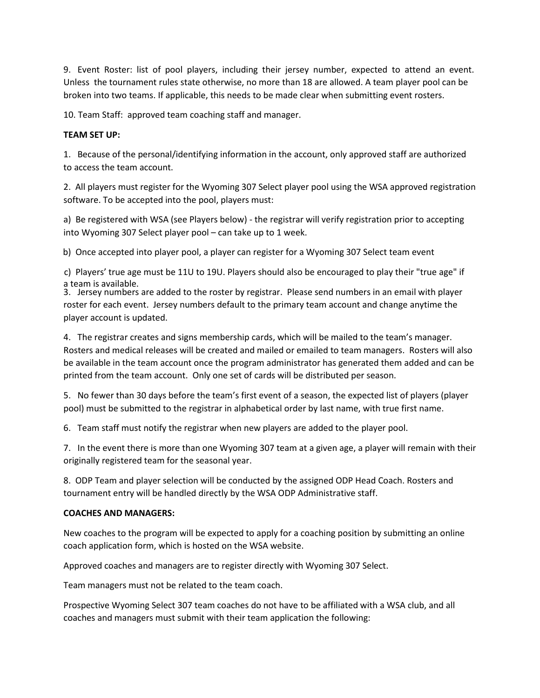9. Event Roster: list of pool players, including their jersey number, expected to attend an event. Unless the tournament rules state otherwise, no more than 18 are allowed. A team player pool can be broken into two teams. If applicable, this needs to be made clear when submitting event rosters.

10. Team Staff: approved team coaching staff and manager.

#### **TEAM SET UP:**

1. Because of the personal/identifying information in the account, only approved staff are authorized to access the team account.

2. All players must register for the Wyoming 307 Select player pool using the WSA approved registration software. To be accepted into the pool, players must:

a) Be registered with WSA (see Players below) - the registrar will verify registration prior to accepting into Wyoming 307 Select player pool – can take up to 1 week.

b) Once accepted into player pool, a player can register for a Wyoming 307 Select team event

c) Players' true age must be 11U to 19U. Players should also be encouraged to play their "true age" if a team is available.

3. Jersey numbers are added to the roster by registrar. Please send numbers in an email with player roster for each event. Jersey numbers default to the primary team account and change anytime the player account is updated.

4. The registrar creates and signs membership cards, which will be mailed to the team's manager. Rosters and medical releases will be created and mailed or emailed to team managers. Rosters will also be available in the team account once the program administrator has generated them added and can be printed from the team account. Only one set of cards will be distributed per season.

5. No fewer than 30 days before the team's first event of a season, the expected list of players (player pool) must be submitted to the registrar in alphabetical order by last name, with true first name.

6. Team staff must notify the registrar when new players are added to the player pool.

7. In the event there is more than one Wyoming 307 team at a given age, a player will remain with their originally registered team for the seasonal year.

8. ODP Team and player selection will be conducted by the assigned ODP Head Coach. Rosters and tournament entry will be handled directly by the WSA ODP Administrative staff.

#### **COACHES AND MANAGERS:**

New coaches to the program will be expected to apply for a coaching position by submitting an online coach application form, which is hosted on the WSA website.

Approved coaches and managers are to register directly with Wyoming 307 Select.

Team managers must not be related to the team coach.

Prospective Wyoming Select 307 team coaches do not have to be affiliated with a WSA club, and all coaches and managers must submit with their team application the following: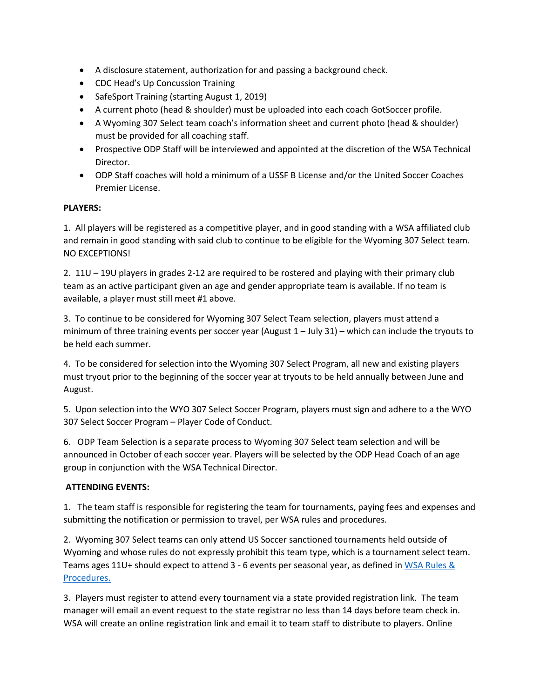- A disclosure statement, authorization for and passing a background check.
- CDC Head's Up Concussion Training
- SafeSport Training (starting August 1, 2019)
- A current photo (head & shoulder) must be uploaded into each coach GotSoccer profile.
- A Wyoming 307 Select team coach's information sheet and current photo (head & shoulder) must be provided for all coaching staff.
- Prospective ODP Staff will be interviewed and appointed at the discretion of the WSA Technical Director.
- ODP Staff coaches will hold a minimum of a USSF B License and/or the United Soccer Coaches Premier License.

#### **PLAYERS:**

1. All players will be registered as a competitive player, and in good standing with a WSA affiliated club and remain in good standing with said club to continue to be eligible for the Wyoming 307 Select team. NO EXCEPTIONS!

2. 11U – 19U players in grades 2-12 are required to be rostered and playing with their primary club team as an active participant given an age and gender appropriate team is available. If no team is available, a player must still meet #1 above.

3. To continue to be considered for Wyoming 307 Select Team selection, players must attend a minimum of three training events per soccer year (August 1 – July 31) – which can include the tryouts to be held each summer.

4. To be considered for selection into the Wyoming 307 Select Program, all new and existing players must tryout prior to the beginning of the soccer year at tryouts to be held annually between June and August.

5. Upon selection into the WYO 307 Select Soccer Program, players must sign and adhere to a the WYO 307 Select Soccer Program – Player Code of Conduct.

6. ODP Team Selection is a separate process to Wyoming 307 Select team selection and will be announced in October of each soccer year. Players will be selected by the ODP Head Coach of an age group in conjunction with the WSA Technical Director.

# **ATTENDING EVENTS:**

1. The team staff is responsible for registering the team for tournaments, paying fees and expenses and submitting the notification or permission to travel, per WSA rules and procedures.

2. Wyoming 307 Select teams can only attend US Soccer sanctioned tournaments held outside of Wyoming and whose rules do not expressly prohibit this team type, which is a tournament select team. Teams ages 11U+ should expect to attend 3 - 6 events per seasonal year, as defined i[n WSA Rules &](https://usys-assets.ae-admin.com/assets/961/15/18.19%20WSA%20RULES.PROCEDURES_01191.PDF) [Procedures.](https://usys-assets.ae-admin.com/assets/961/15/18.19%20WSA%20RULES.PROCEDURES_01191.PDF)

3. Players must register to attend every tournament via a state provided registration link. The team manager will email an event request to the state registrar no less than 14 days before team check in. WSA will create an online registration link and email it to team staff to distribute to players. Online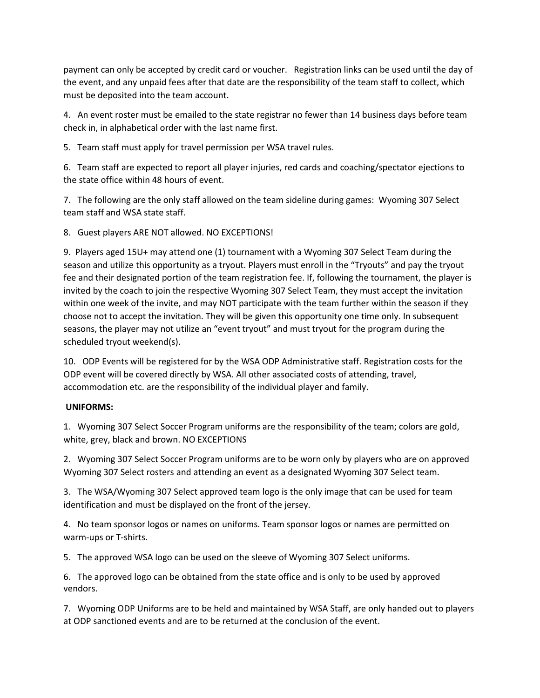payment can only be accepted by credit card or voucher. Registration links can be used until the day of the event, and any unpaid fees after that date are the responsibility of the team staff to collect, which must be deposited into the team account.

4. An event roster must be emailed to the state registrar no fewer than 14 business days before team check in, in alphabetical order with the last name first.

5. Team staff must apply for travel permission per WSA travel rules.

6. Team staff are expected to report all player injuries, red cards and coaching/spectator ejections to the state office within 48 hours of event.

7. The following are the only staff allowed on the team sideline during games: Wyoming 307 Select team staff and WSA state staff.

8. Guest players ARE NOT allowed. NO EXCEPTIONS!

9. Players aged 15U+ may attend one (1) tournament with a Wyoming 307 Select Team during the season and utilize this opportunity as a tryout. Players must enroll in the "Tryouts" and pay the tryout fee and their designated portion of the team registration fee. If, following the tournament, the player is invited by the coach to join the respective Wyoming 307 Select Team, they must accept the invitation within one week of the invite, and may NOT participate with the team further within the season if they choose not to accept the invitation. They will be given this opportunity one time only. In subsequent seasons, the player may not utilize an "event tryout" and must tryout for the program during the scheduled tryout weekend(s).

10. ODP Events will be registered for by the WSA ODP Administrative staff. Registration costs for the ODP event will be covered directly by WSA. All other associated costs of attending, travel, accommodation etc. are the responsibility of the individual player and family.

# **UNIFORMS:**

1. Wyoming 307 Select Soccer Program uniforms are the responsibility of the team; colors are gold, white, grey, black and brown. NO EXCEPTIONS

2. Wyoming 307 Select Soccer Program uniforms are to be worn only by players who are on approved Wyoming 307 Select rosters and attending an event as a designated Wyoming 307 Select team.

3. The WSA/Wyoming 307 Select approved team logo is the only image that can be used for team identification and must be displayed on the front of the jersey.

4. No team sponsor logos or names on uniforms. Team sponsor logos or names are permitted on warm-ups or T-shirts.

5. The approved WSA logo can be used on the sleeve of Wyoming 307 Select uniforms.

6. The approved logo can be obtained from the state office and is only to be used by approved vendors.

7. Wyoming ODP Uniforms are to be held and maintained by WSA Staff, are only handed out to players at ODP sanctioned events and are to be returned at the conclusion of the event.